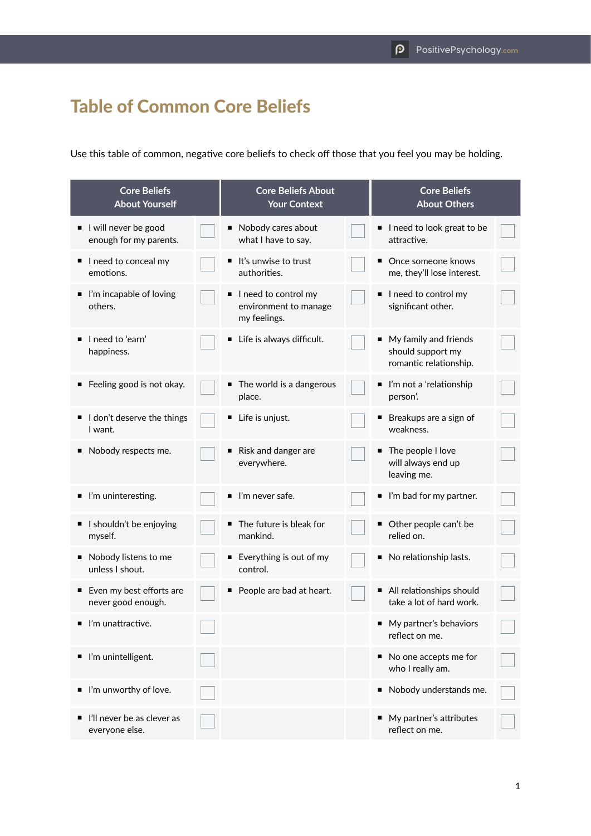## Table of Common Core Beliefs

Use this table of common, negative core beliefs to check off those that you feel you may be holding.

| <b>Core Beliefs</b><br><b>About Yourself</b>   |  | <b>Core Beliefs About</b><br><b>Your Context</b>              |  | <b>Core Beliefs</b><br><b>About Others</b>                             |  |
|------------------------------------------------|--|---------------------------------------------------------------|--|------------------------------------------------------------------------|--|
| I will never be good<br>enough for my parents. |  | Nobody cares about<br>п<br>what I have to say.                |  | I need to look great to be<br>attractive.                              |  |
| I I need to conceal my<br>emotions.            |  | It's unwise to trust<br>authorities.                          |  | ■ Once someone knows<br>me, they'll lose interest.                     |  |
| ■ I'm incapable of loving<br>others.           |  | I need to control my<br>environment to manage<br>my feelings. |  | I need to control my<br>significant other.                             |  |
| $\blacksquare$ I need to 'earn'<br>happiness.  |  | Life is always difficult.<br>п                                |  | ■ My family and friends<br>should support my<br>romantic relationship. |  |
| Feeling good is not okay.                      |  | ■ The world is a dangerous<br>place.                          |  | ■ I'm not a 'relationship<br>person'.                                  |  |
| I don't deserve the things<br>I want.          |  | Life is unjust.<br>п                                          |  | ■ Breakups are a sign of<br>weakness.                                  |  |
| Nobody respects me.                            |  | Risk and danger are<br>п<br>everywhere.                       |  | ■ The people I love<br>will always end up<br>leaving me.               |  |
| ■ I'm uninteresting.                           |  | $\blacksquare$ I'm never safe.                                |  | l'm bad for my partner.                                                |  |
| I I shouldn't be enjoying<br>myself.           |  | The future is bleak for<br>п<br>mankind.                      |  | Other people can't be<br>relied on.                                    |  |
| Nobody listens to me<br>unless I shout.        |  | Everything is out of my<br>п<br>control.                      |  | No relationship lasts.<br>п                                            |  |
| Even my best efforts are<br>never good enough. |  | People are bad at heart.<br>п                                 |  | All relationships should<br>take a lot of hard work.                   |  |
| I'm unattractive.                              |  |                                                               |  | My partner's behaviors<br>reflect on me.                               |  |
| ■ I'm unintelligent.                           |  |                                                               |  | No one accepts me for<br>who I really am.                              |  |
| l'm unworthy of love.                          |  |                                                               |  | Nobody understands me.<br>п                                            |  |
| I'll never be as clever as<br>everyone else.   |  |                                                               |  | ■ My partner's attributes<br>reflect on me.                            |  |